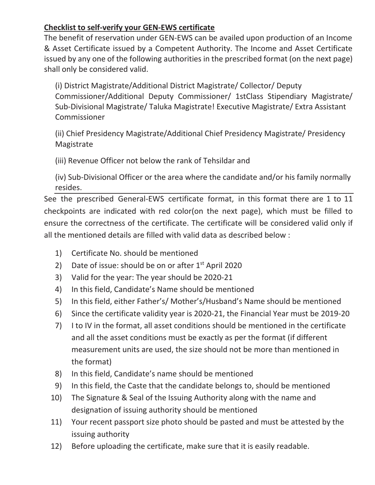## **Checklist to self-verify your GEN-EWS certificate**

The benefit of reservation under GEN-EWS can be availed upon production of an Income & Asset Certificate issued by a Competent Authority. The Income and Asset Certificate issued by any one of the following authorities in the prescribed format (on the next page) shall only be considered valid.

(i) District Magistrate/Additional District Magistrate/ Collector/ Deputy Commissioner/Additional Deputy Commissioner/ 1stClass Stipendiary Magistrate/ Sub-Divisional Magistrate/ Taluka Magistrate! Executive Magistrate/ Extra Assistant Commissioner

(ii) Chief Presidency Magistrate/Additional Chief Presidency Magistrate/ Presidency Magistrate

(iii) Revenue Officer not below the rank of Tehsildar and

(iv) Sub-Divisional Officer or the area where the candidate and/or his family normally resides.

See the prescribed General-EWS certificate format, in this format there are 1 to 11 checkpoints are indicated with red color(on the next page), which must be filled to ensure the correctness of the certificate. The certificate will be considered valid only if all the mentioned details are filled with valid data as described below :

- 1) Certificate No. should be mentioned
- 2) Date of issue: should be on or after  $1<sup>st</sup>$  April 2020
- $3)$  Valid for the year: The year should be 2020-21
- 4) In this field, Candidate's Name should be mentioned
- 5) In this field, either Father's/ Mother's/Husband's Name should be mentioned
- 6) Since the certificate validity year is 2020-21, the Financial Year must be 2019-20
- 7) I to IV in the format, all asset conditions should be mentioned in the certificate and all the asset conditions must be exactly as per the format (if different measurement units are used, the size should not be more than mentioned in the format)
- 8) In this field, Candidate's name should be mentioned
- ϵͿ In this field, the Caste that the candidate belongs to, should be mentioned
- 10) The Signature & Seal of the Issuing Authority along with the name and designation of issuing authority should be mentioned
- 11) Your recent passport size photo should be pasted and must be attested by the issuing authority
- 12) Before uploading the certificate, make sure that it is easily readable.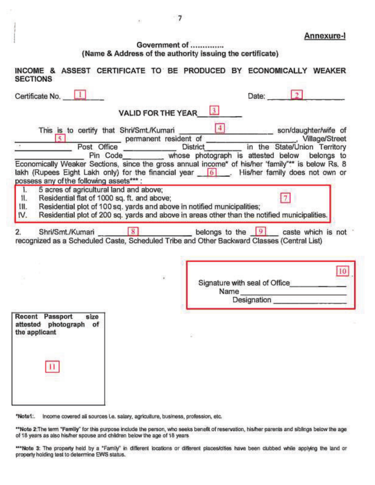Annexure-I

## Government of .............. (Name & Address of the authority issuing the certificate)

| <b>SECTIONS</b>                                                                                                                                                                                                                                                                                                            | INCOME & ASSEST CERTIFICATE TO BE PRODUCED BY ECONOMICALLY WEAKER                                                                                                                                                                                                                                                                                                                                                                                                                            |
|----------------------------------------------------------------------------------------------------------------------------------------------------------------------------------------------------------------------------------------------------------------------------------------------------------------------------|----------------------------------------------------------------------------------------------------------------------------------------------------------------------------------------------------------------------------------------------------------------------------------------------------------------------------------------------------------------------------------------------------------------------------------------------------------------------------------------------|
| Certificate No. 1                                                                                                                                                                                                                                                                                                          | $\mathcal{F}$<br>Date:                                                                                                                                                                                                                                                                                                                                                                                                                                                                       |
| <b>VALID FOR THE YEAR</b>                                                                                                                                                                                                                                                                                                  |                                                                                                                                                                                                                                                                                                                                                                                                                                                                                              |
| This is to certify that Shri/Smt./Kumari<br><b>K</b><br>Post Office<br>Pin Code<br>possess any of the following assets***:<br>5 acres of agricultural land and above;<br>L.<br>Residential flat of 1000 sq. ft. and above;<br>П.<br>Residential plot of 100 sq. yards and above in notified municipalities;<br>111.<br>IV. | $\left( \frac{1}{2} \right)$<br>son/daughter/wife of<br>permanent resident of<br>Village/Street<br>District in the State/Union Territory<br>whose photograph is attested below belongs to<br>Economically Weaker Sections, since the gross annual income* of his/her 'family"** is below Rs. 8<br>lakh (Rupees Eight Lakh only) for the financial year 6 [6]. His/her family does not own or<br>Residential plot of 200 sq. yards and above in areas other than the notified municipalities. |
| 2.                                                                                                                                                                                                                                                                                                                         | Shri/Smt./Kumari 8 8 belongs to the 9 caste which is not<br>recognized as a Scheduled Caste, Scheduled Tribe and Other Backward Classes (Central List)                                                                                                                                                                                                                                                                                                                                       |
|                                                                                                                                                                                                                                                                                                                            | 10<br>Signature with seal of Office<br>Name<br>Designation                                                                                                                                                                                                                                                                                                                                                                                                                                   |
| Recent Passport<br>size<br>attested photograph of<br>the applicant                                                                                                                                                                                                                                                         |                                                                                                                                                                                                                                                                                                                                                                                                                                                                                              |
|                                                                                                                                                                                                                                                                                                                            |                                                                                                                                                                                                                                                                                                                                                                                                                                                                                              |

"Note1: Income covered all sources i.e. salary, agriculture, business, profession, etc.

\*\*Note 2:The term "Family" for this purpose include the person, who seeks benefit of reservation, his/her parents and siblings below the age of 18 years as also his/her spouse and children below the age of 18 years

"Note 3: The property held by a "Family" in different locations or different places/cifies have been clubbed while applying the land or property holding test to determine EWS status.

 $\mathcal{F}_\mathcal{C}$